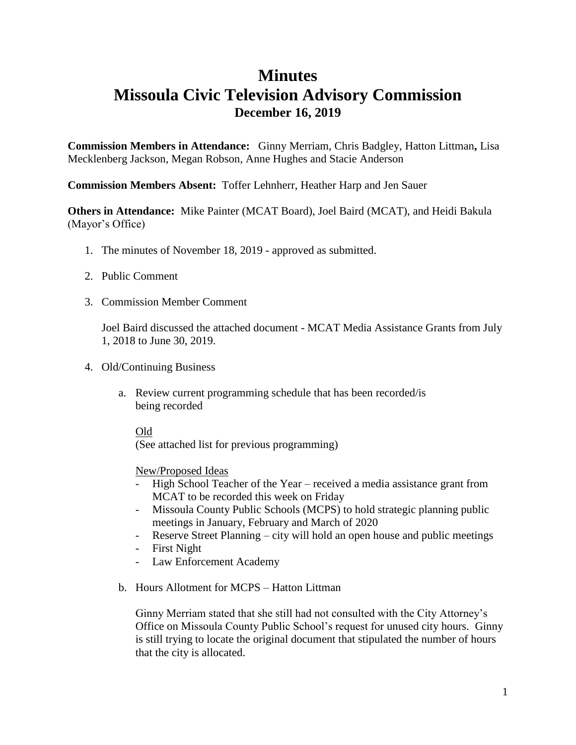### **Minutes**

## **Missoula Civic Television Advisory Commission December 16, 2019**

**Commission Members in Attendance:** Ginny Merriam, Chris Badgley, Hatton Littman**,** Lisa Mecklenberg Jackson, Megan Robson, Anne Hughes and Stacie Anderson

**Commission Members Absent:** Toffer Lehnherr, Heather Harp and Jen Sauer

**Others in Attendance:** Mike Painter (MCAT Board), Joel Baird (MCAT), and Heidi Bakula (Mayor's Office)

- 1. The minutes of November 18, 2019 approved as submitted.
- 2. Public Comment
- 3. Commission Member Comment

Joel Baird discussed the attached document - MCAT Media Assistance Grants from July 1, 2018 to June 30, 2019.

- 4. Old/Continuing Business
	- a. Review current programming schedule that has been recorded/is being recorded

### Old

(See attached list for previous programming)

### New/Proposed Ideas

- High School Teacher of the Year received a media assistance grant from MCAT to be recorded this week on Friday
- Missoula County Public Schools (MCPS) to hold strategic planning public meetings in January, February and March of 2020
- Reserve Street Planning city will hold an open house and public meetings
- First Night
- Law Enforcement Academy
- b. Hours Allotment for MCPS Hatton Littman

Ginny Merriam stated that she still had not consulted with the City Attorney's Office on Missoula County Public School's request for unused city hours. Ginny is still trying to locate the original document that stipulated the number of hours that the city is allocated.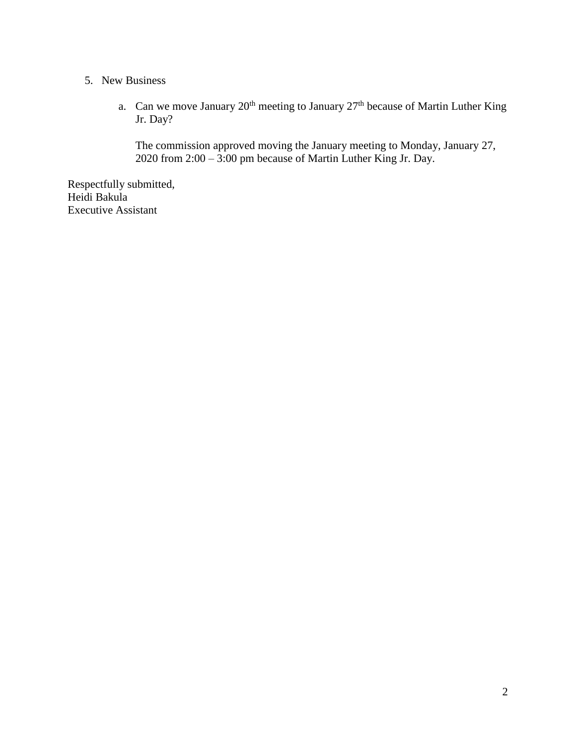### 5. New Business

a. Can we move January  $20^{th}$  meeting to January  $27^{th}$  because of Martin Luther King Jr. Day?

The commission approved moving the January meeting to Monday, January 27, 2020 from 2:00 – 3:00 pm because of Martin Luther King Jr. Day.

Respectfully submitted, Heidi Bakula Executive Assistant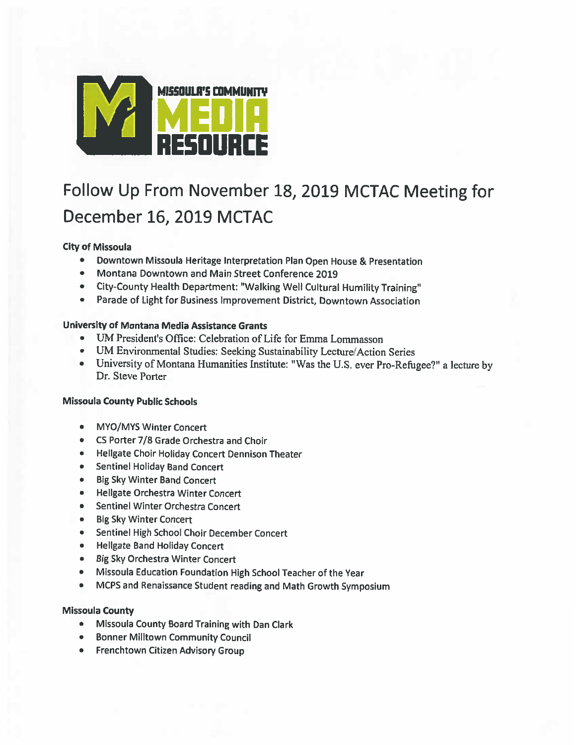

# Follow Up From November 18, 2019 MCTAC Meeting for December 16, 2019 MCTAC

### **City of Missoula**

- $\bullet$ Downtown Missoula Heritage Interpretation Plan Open House & Presentation
- Montana Downtown and Main Street Conference 2019
- City-County Health Department: "Walking Well Cultural Humility Training"
- Parade of Light for Business Improvement District, Downtown Association

### University of Montana Media Assistance Grants

- UM President's Office: Celebration of Life for Emma Lommasson
- UM Environmental Studies: Seeking Sustainability Lecture/Action Series
- University of Montana Humanities Institute: "Was the U.S. ever Pro-Refugee?" a lecture by Dr. Steve Porter

### **Missoula County Public Schools**

- $\bullet$ **MYO/MYS Winter Concert**
- CS Porter 7/8 Grade Orchestra and Choir
- Hellgate Choir Holiday Concert Dennison Theater
- Sentinel Holiday Band Concert
- Big Sky Winter Band Concert
- Hellgate Orchestra Winter Concert
- Sentinel Winter Orchestra Concert
- Big Sky Winter Concert
- Sentinel High School Choir December Concert
- Hellgate Band Holiday Concert
- Big Sky Orchestra Winter Concert
- Missoula Education Foundation High School Teacher of the Year
- MCPS and Renaissance Student reading and Math Growth Symposium

### **Missoula County**

- Missoula County Board Training with Dan Clark
- Bonner Milltown Community Council
- Frenchtown Citizen Advisory Group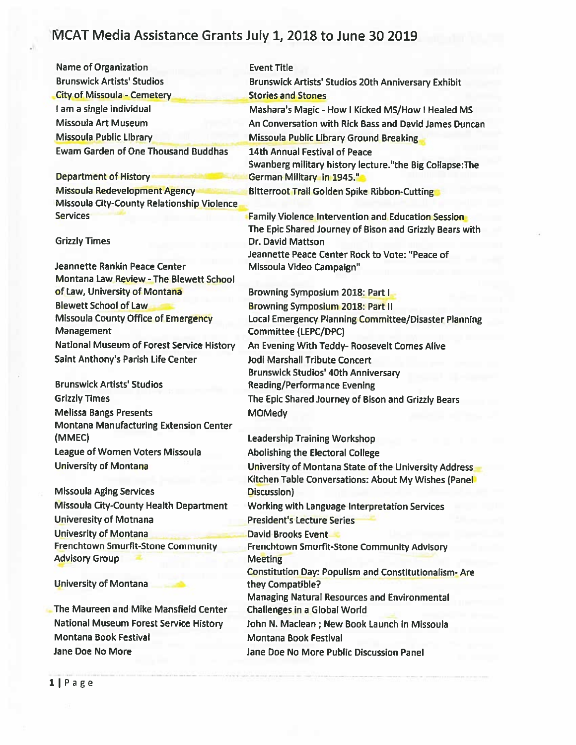| <b>Name of Organization</b>                                              | <b>Event Title</b>                                           |
|--------------------------------------------------------------------------|--------------------------------------------------------------|
| <b>Brunswick Artists' Studios</b>                                        | Brunswick Artists' Studios 20th Anniversary Exhibit          |
| <b>City of Missoula - Cemetery</b>                                       | <b>Stories and Stones</b>                                    |
| I am a single individual                                                 | Mashara's Magic - How I Kicked MS/How I Healed MS            |
| <b>Missoula Art Museum</b>                                               | An Conversation with Rick Bass and David James Duncan        |
| <b>Missoula Public Library</b>                                           | <b>Missoula Public Library Ground Breaking</b>               |
| <b>Ewam Garden of One Thousand Buddhas</b>                               | <b>14th Annual Festival of Peace</b>                         |
|                                                                          | Swanberg military history lecture."the Big Collapse:The      |
| <b>Department of History</b>                                             | German Military in 1945."                                    |
| Missoula Redevelopment Agency                                            | <b>Bitterroot Trail Golden Spike Ribbon-Cutting</b>          |
| Missoula City-County Relationship Violence                               |                                                              |
| <b>Services</b>                                                          | <b>Family Violence Intervention and Education Session</b>    |
|                                                                          | The Epic Shared Journey of Bison and Grizzly Bears with      |
| <b>Grizzly Times</b>                                                     | Dr. David Mattson                                            |
|                                                                          | Jeannette Peace Center Rock to Vote: "Peace of               |
| Jeannette Rankin Peace Center<br>Montana Law Review - The Blewett School | Missoula Video Campaign"                                     |
| of Law, University of Montana                                            | <b>Browning Symposium 2018: Part I</b>                       |
| <b>Blewett School of Law</b>                                             | <b>Browning Symposium 2018: Part II</b>                      |
| Missoula County Office of Emergency                                      | Local Emergency Planning Committee/Disaster Planning         |
| Management                                                               | Committee (LEPC/DPC)                                         |
| <b>National Museum of Forest Service History</b>                         | An Evening With Teddy- Roosevelt Comes Alive                 |
| Saint Anthony's Parish Life Center                                       | <b>Jodi Marshall Tribute Concert</b>                         |
|                                                                          | <b>Brunswick Studios' 40th Anniversary</b>                   |
| <b>Brunswick Artists' Studios</b>                                        | <b>Reading/Performance Evening</b>                           |
| <b>Grizzly Times</b>                                                     | The Epic Shared Journey of Bison and Grizzly Bears           |
| <b>Melissa Bangs Presents</b>                                            | <b>MOMedy</b>                                                |
| <b>Montana Manufacturing Extension Center</b>                            |                                                              |
| (MMEC)                                                                   | <b>Leadership Training Workshop</b>                          |
| League of Women Voters Missoula                                          | Abolishing the Electoral College                             |
| <b>University of Montana</b>                                             | University of Montana State of the University Address        |
|                                                                          | Kitchen Table Conversations: About My Wishes (Panel          |
| <b>Missoula Aging Services</b>                                           | Discussion)                                                  |
| <b>Missoula City-County Health Department</b>                            | Working with Language Interpretation Services                |
| <b>Univeresity of Motnana</b>                                            | <b>President's Lecture Series</b>                            |
| <b>Univesrity of Montana</b>                                             | <b>David Brooks Event</b>                                    |
| <b>Frenchtown Smurfit-Stone Community</b>                                | Frenchtown Smurfit-Stone Community Advisory                  |
| <b>Advisory Group</b>                                                    | <b>Meeting</b>                                               |
|                                                                          | <b>Constitution Day: Populism and Constitutionalism- Are</b> |
| <b>University of Montana</b>                                             | they Compatible?                                             |
| The Maureen and Mike Mansfield Center                                    | <b>Managing Natural Resources and Environmental</b>          |
|                                                                          | Challenges in a Global World                                 |
| National Museum Forest Service History                                   | John N. Maclean ; New Book Launch in Missoula                |
| Montana Book Festival                                                    | <b>Montana Book Festival</b>                                 |
| Jane Doe No More                                                         | Jane Doe No More Public Discussion Panel                     |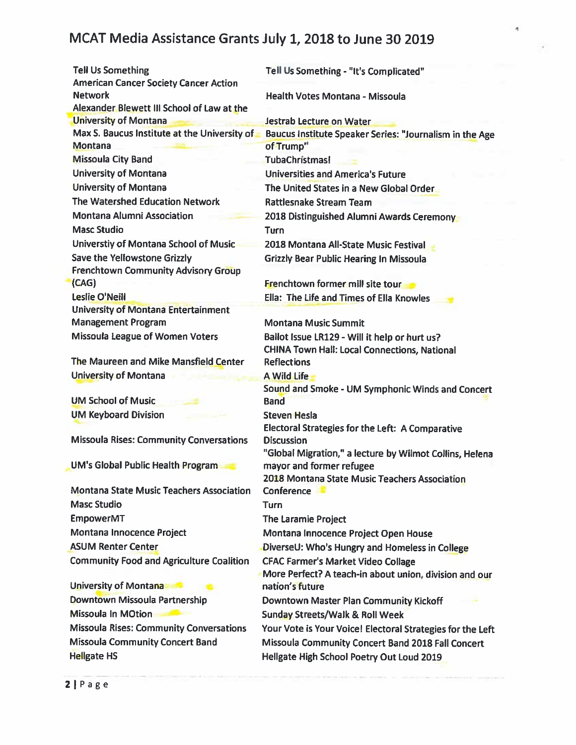۸

| <b>Tell Us Something</b><br><b>American Cancer Society Cancer Action</b> | Tell Us Something - "It's Complicated"                          |
|--------------------------------------------------------------------------|-----------------------------------------------------------------|
| <b>Network</b>                                                           | Health Votes Montana - Missoula                                 |
| Alexander Blewett III School of Law at the                               |                                                                 |
| <b>University of Montana</b>                                             | Jestrab Lecture on Water                                        |
| Max S. Baucus Institute at the University of                             | Baucus Institute Speaker Series: "Journalism in the Age         |
| Montana                                                                  | of Trump"                                                       |
| <b>Missoula City Band</b>                                                | <b>TubaChristmas!</b>                                           |
| <b>University of Montana</b>                                             | <b>Universities and America's Future</b>                        |
| <b>University of Montana</b>                                             | The United States in a New Global Order                         |
| The Watershed Education Network                                          | <b>Rattlesnake Stream Team</b>                                  |
| Montana Alumni Association                                               | 2018 Distinguished Alumni Awards Ceremony                       |
| <b>Masc Studio</b>                                                       | <b>Turn</b>                                                     |
| Universtiy of Montana School of Music                                    | 2018 Montana All-State Music Festival                           |
| Save the Yellowstone Grizzly                                             | <b>Grizzly Bear Public Hearing In Missoula</b>                  |
| <b>Frenchtown Community Advisory Group</b>                               |                                                                 |
| (CAG)                                                                    | <b>Frenchtown former mill site tour</b>                         |
| <b>Leslie O'Neill</b>                                                    | Ella: The Life and Times of Ella Knowles                        |
| <b>University of Montana Entertainment</b>                               |                                                                 |
| <b>Management Program</b>                                                | <b>Montana Music Summit</b>                                     |
| Missoula League of Women Voters                                          | Ballot Issue LR129 - Will it help or hurt us?                   |
|                                                                          | CHINA Town Hall: Local Connections, National                    |
| The Maureen and Mike Mansfield Center                                    | <b>Reflections</b>                                              |
| <b>University of Montana</b>                                             | <b>A Wild Life</b>                                              |
| <b>UM School of Music</b>                                                | Sound and Smoke - UM Symphonic Winds and Concert<br><b>Band</b> |
| <b>UM Keyboard Division</b>                                              | <b>Steven Hesla</b>                                             |
|                                                                          | Electoral Strategies for the Left: A Comparative                |
| <b>Missoula Rises: Community Conversations</b>                           | <b>Discussion</b>                                               |
|                                                                          | "Global Migration," a lecture by Wilmot Collins, Helena         |
| <b>UM's Global Public Health Program</b>                                 | mayor and former refugee                                        |
|                                                                          | 2018 Montana State Music Teachers Association                   |
| <b>Montana State Music Teachers Association</b>                          | <b>Conference</b>                                               |
| <b>Masc Studio</b>                                                       | <b>Turn</b>                                                     |
| <b>EmpowerMT</b>                                                         | <b>The Laramie Project</b>                                      |
| Montana Innocence Project                                                | Montana Innocence Project Open House                            |
| <b>ASUM Renter Center</b>                                                | DiverseU: Who's Hungry and Homeless in College                  |
| <b>Community Food and Agriculture Coalition</b>                          | <b>CFAC Farmer's Market Video Collage</b>                       |
|                                                                          | More Perfect? A teach-in about union, division and our          |
| University of Montana                                                    | nation's future                                                 |
| Downtown Missoula Partnership                                            | Downtown Master Plan Community Kickoff                          |
| <b>Missoula In MOtion</b>                                                | <b>Sunday Streets/Walk &amp; Roll Week</b>                      |
| <b>Missoula Rises: Community Conversations</b>                           | Your Vote is Your Voice! Electoral Strategies for the Left      |
| <b>Missoula Community Concert Band</b>                                   | Missoula Community Concert Band 2018 Fall Concert               |
| <b>Hellgate HS</b>                                                       | Hellgate High School Poetry Out Loud 2019                       |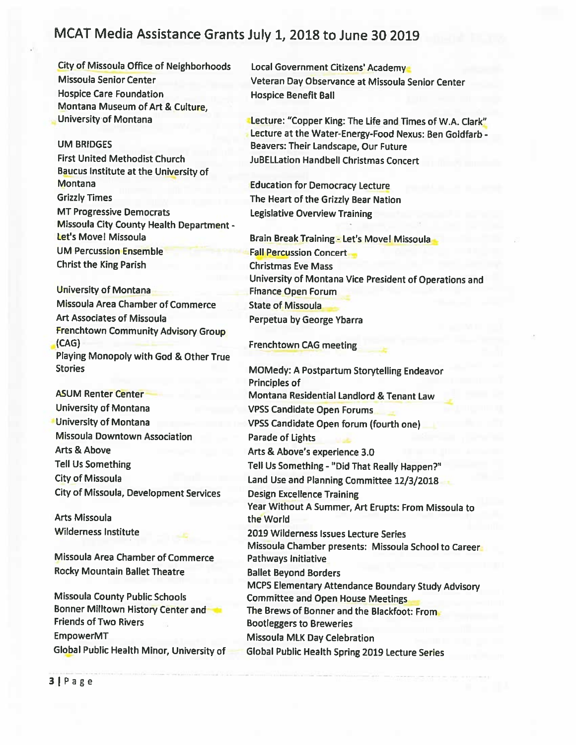**City of Missoula Office of Neighborhoods** Missoula Senior Center **Hospice Care Foundation** Montana Museum of Art & Culture, University of Montana

#### **UM BRIDGES**

**First United Methodist Church** Baucus Institute at the University of **Montana Grizzly Times MT Progressive Democrats** Missoula City County Health Department -Let's Move! Missoula **UM Percussion Ensemble Christ the King Parish** 

**University of Montana** Missoula Area Chamber of Commerce **Art Associates of Missoula** Frenchtown Community Advisory Group  $(CAG)$ Playing Monopoly with God & Other True **Stories** 

**ASUM Renter Center University of Montana University of Montana** Missoula Downtown Association Arts & Above **Tell Us Something City of Missoula City of Missoula, Development Services** 

Arts Missoula **Wilderness Institute** 

**Missoula Area Chamber of Commerce Rocky Mountain Ballet Theatre** 

**Missoula County Public Schools** Bonner Milltown History Center and **Friends of Two Rivers EmpowerMT** Global Public Health Minor, University of

Local Government Citizens' Academy Veteran Day Observance at Missoula Senior Center **Hospice Benefit Ball** 

Lecture: "Copper King: The Life and Times of W.A. Clark" Lecture at the Water-Energy-Food Nexus: Ben Goldfarb -Beavers: Their Landscape, Our Future **JuBELLation Handbell Christmas Concert** 

**Education for Democracy Lecture** The Heart of the Grizzly Bear Nation Legislative Overview Training

Brain Break Training - Let's Movel Missoula **Fall Percussion Concert Christmas Eve Mass** University of Montana Vice President of Operations and **Finance Open Forum State of Missoula** Perpetua by George Ybarra

#### Frenchtown CAG meeting

**MOMedy: A Postpartum Storytelling Endeavor** Principles of Montana Residential Landlord & Tenant Law **VPSS Candidate Open Forums** VPSS Candidate Open forum (fourth one) Parade of Lights Arts & Above's experience 3.0 Tell Us Something - "Did That Really Happen?" Land Use and Planning Committee 12/3/2018 **Design Excellence Training** Year Without A Summer, Art Erupts: From Missoula to the World 2019 Wilderness Issues Lecture Series Missoula Chamber presents: Missoula School to Career Pathways Initiative **Ballet Beyond Borders** MCPS Elementary Attendance Boundary Study Advisory **Committee and Open House Meetings** The Brews of Bonner and the Blackfoot: From **Bootleggers to Breweries** Missoula MLK Day Celebration Global Public Health Spring 2019 Lecture Series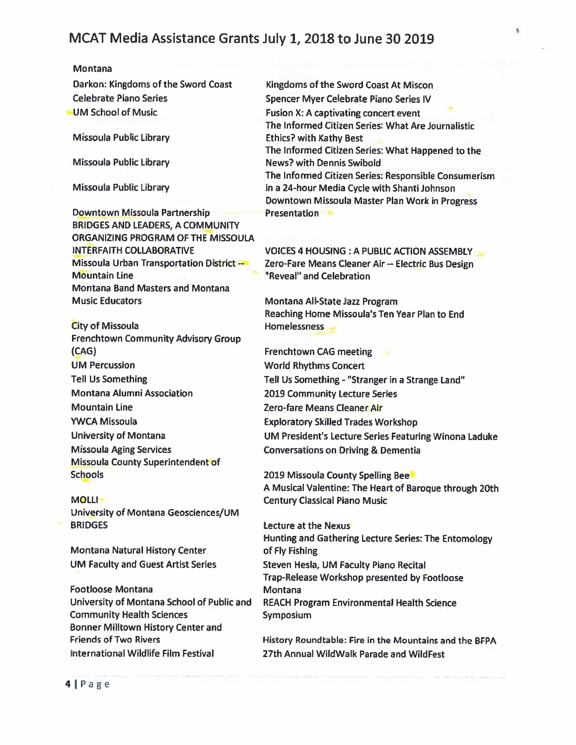#### Montana

Darkon: Kingdoms of the Sword Coast **Celebrate Piano Series UM School of Music** 

**Missoula Public Library** 

**Missoula Public Library** 

Missoula Public Library

Downtown Missoula Partnership **BRIDGES AND LEADERS, A COMMUNITY** ORGANIZING PROGRAM OF THE MISSOULA **INTERFAITH COLLABORATIVE** Missoula Urban Transportation District --**Mountain Line Montana Band Masters and Montana Music Educators** 

**City of Missoula Frenchtown Community Advisory Group**  $(CAG)$ **UM Percussion Tell Us Something Montana Alumni Association Mountain Line YWCA Missoula** University of Montana **Missoula Aging Services Missoula County Superintendent of Schools** 

### **MOLLI**

University of Montana Geosciences/UM **BRIDGES** 

Montana Natural History Center **UM Faculty and Guest Artist Series** 

**Footloose Montana** University of Montana School of Public and **Community Health Sciences Bonner Milltown History Center and Friends of Two Rivers** International Wildlife Film Festival

Kingdoms of the Sword Coast At Miscon Spencer Myer Celebrate Piano Series IV Fusion X: A captivating concert event The Informed Citizen Series: What Are Journalistic **Ethics? with Kathy Best** The Informed Citizen Series: What Happened to the **News? with Dennis Swibold** The Informed Citizen Series: Responsible Consumerism in a 24-hour Media Cycle with Shanti Johnson Downtown Missoula Master Plan Work in Progress **Presentation** 

é,

VOICES 4 HOUSING: A PUBLIC ACTION ASSEMBLY Zero-Fare Means Cleaner Air -- Electric Bus Design "Reveal" and Celebration

Montana All-State Jazz Program Reaching Home Missoula's Ten Year Plan to End Homelessness

**Frenchtown CAG meeting World Rhythms Concert** Tell Us Something - "Stranger in a Strange Land" 2019 Community Lecture Series Zero-fare Means Cleaner Air **Exploratory Skilled Trades Workshop** UM President's Lecture Series Featuring Winona Laduke **Conversations on Driving & Dementia** 

2019 Missoula County Spelling Bee A Musical Valentine: The Heart of Baroque through 20th **Century Classical Piano Music** 

Lecture at the Nexus Hunting and Gathering Lecture Series: The Entomology of Fly Fishing Steven Hesla, UM Faculty Piano Recital Trap-Release Workshop presented by Footloose Montana **REACH Program Environmental Health Science** Symposium

History Roundtable: Fire in the Mountains and the BFPA 27th Annual WildWalk Parade and WildFest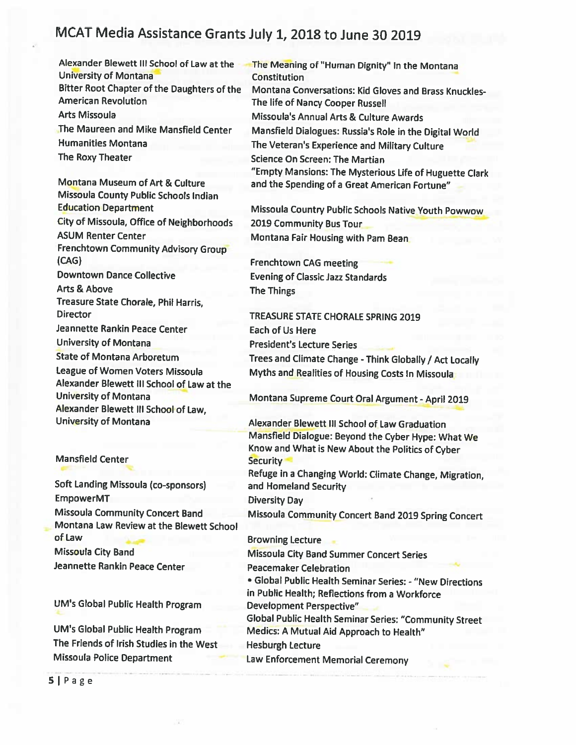Alexander Blewett III School of Law at the University of Montana Bitter Root Chapter of the Daughters of the **American Revolution Arts Missoula** The Maureen and Mike Mansfield Center **Humanities Montana** The Roxy Theater

Montana Museum of Art & Culture Missoula County Public Schools Indian **Education Department** City of Missoula, Office of Neighborhoods **ASUM Renter Center** Frenchtown Community Advisory Group  $(CAG)$ **Downtown Dance Collective** Arts & Above Treasure State Chorale, Phil Harris, **Director** Jeannette Rankin Peace Center **University of Montana State of Montana Arboretum** League of Women Voters Missoula Alexander Blewett III School of Law at the **University of Montana** Alexander Blewett III School of Law, University of Montana

**Mansfield Center** 

Soft Landing Missoula (co-sponsors) **EmpowerMT Missoula Community Concert Band** Montana Law Review at the Blewett School of Law Missoula City Band Jeannette Rankin Peace Center

UM's Global Public Health Program

UM's Global Public Health Program The Friends of Irish Studies in the West Missoula Police Department

The Meaning of "Human Dignity" in the Montana **Constitution** Montana Conversations: Kid Gloves and Brass Knuckles-The life of Nancy Cooper Russell Missoula's Annual Arts & Culture Awards Mansfield Dialogues: Russia's Role in the Digital World The Veteran's Experience and Military Culture **Science On Screen: The Martian** "Empty Mansions: The Mysterious Life of Huguette Clark and the Spending of a Great American Fortune"

Missoula Country Public Schools Native Youth Powwow 2019 Community Bus Tour Montana Fair Housing with Pam Bean

**Frenchtown CAG meeting Evening of Classic Jazz Standards** The Things

TREASURE STATE CHORALE SPRING 2019 **Each of Us Here President's Lecture Series** Trees and Climate Change - Think Globally / Act Locally Myths and Realities of Housing Costs in Missoula

Montana Supreme Court Oral Argument - April 2019

Alexander Blewett III School of Law Graduation Mansfield Dialogue: Beyond the Cyber Hype: What We Know and What is New About the Politics of Cyber **Security** 

Refuge in a Changing World: Climate Change, Migration, and Homeland Security

**Diversity Day** 

Missoula Community Concert Band 2019 Spring Concert

**Browning Lecture** 

**Missoula City Band Summer Concert Series** 

**Peacemaker Celebration** 

· Global Public Health Seminar Series: - "New Directions in Public Health; Reflections from a Workforce **Development Perspective"** 

Global Public Health Seminar Series: "Community Street Medics: A Mutual Aid Approach to Health"

**Hesburgh Lecture** 

Law Enforcement Memorial Ceremony

 $5$ | Page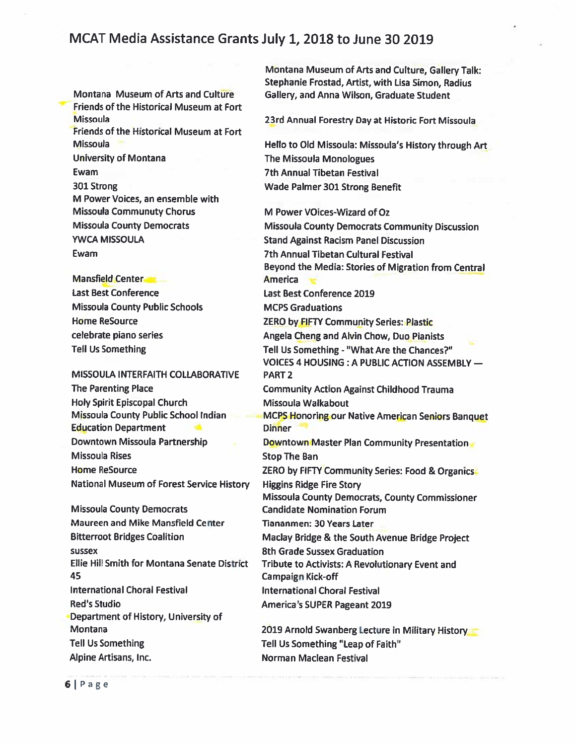Montana Museum of Arts and Culture Friends of the Historical Museum at Fort **Missoula** Friends of the Historical Museum at Fort **Missoula University of Montana** Ewam 301 Strong M Power Voices, an ensemble with **Missoula Communuty Chorus Missoula County Democrats YWCA MISSOULA** Ewam

**Mansfield Center Last Best Conference Missoula County Public Schools Home ReSource** celebrate piano series **Tell Us Something** 

MISSOULA INTERFAITH COLLABORATIVE **The Parenting Place Holy Spirit Episcopal Church Missoula County Public School Indian Education Department** Downtown Missoula Partnership **Missoula Rises Home ReSource National Museum of Forest Service History** 

**Missoula County Democrats** Maureen and Mike Mansfield Center **Bitterroot Bridges Coalition SUSSEX Ellie Hill Smith for Montana Senate District** 45 **International Choral Festival Red's Studio** Department of History, University of Montana **Tell Us Something** Alpine Artisans, Inc.

Montana Museum of Arts and Culture, Gallery Talk: Stephanie Frostad, Artist, with Lisa Simon, Radius Gallery, and Anna Wilson, Graduate Student

23rd Annual Forestry Day at Historic Fort Missoula

Hello to Old Missoula: Missoula's History through Art The Missoula Monologues **7th Annual Tibetan Festival** Wade Palmer 301 Strong Benefit

M Power VOices-Wizard of Oz **Missoula County Democrats Community Discussion Stand Against Racism Panel Discussion** 7th Annual Tibetan Cultural Festival Beyond the Media: Stories of Migration from Central **America** Last Best Conference 2019 **MCPS Graduations ZERO by FIFTY Community Series: Plastic** Angela Cheng and Alvin Chow, Duo Pianists Tell Us Something - "What Are the Chances?" VOICES 4 HOUSING : A PUBLIC ACTION ASSEMBLY -**PART 2 Community Action Against Childhood Trauma** Missoula Walkabout MCPS Honoring our Native American Seniors Banquet **Dinner** Downtown Master Plan Community Presentation **Stop The Ban** ZERO by FIFTY Community Series: Food & Organics **Higgins Ridge Fire Story** Missoula County Democrats, County Commissioner **Candidate Nomination Forum** Tiananmen: 30 Years Later Maclay Bridge & the South Avenue Bridge Project 8th Grade Sussex Graduation Tribute to Activists: A Revolutionary Event and Campaign Kick-off **International Choral Festival America's SUPER Pageant 2019** 2019 Arnold Swanberg Lecture in Military History Tell Us Something "Leap of Faith"

Norman Maclean Festival